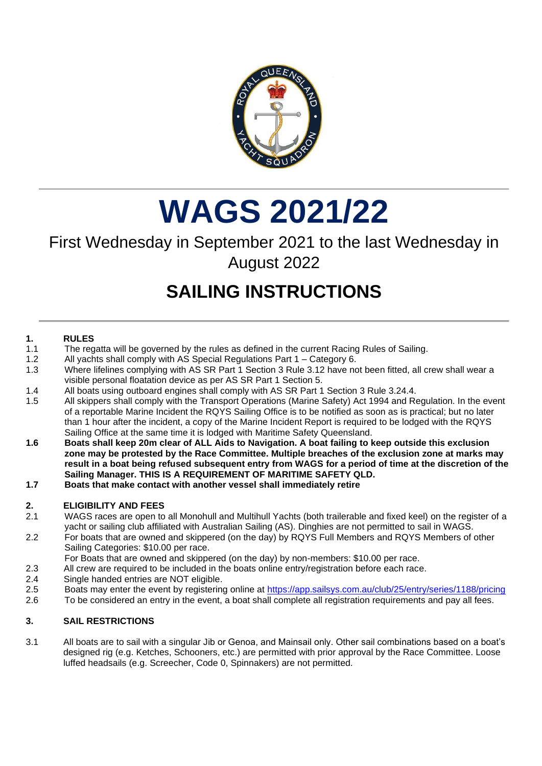

## **WAGS 2021/22**

### First Wednesday in September 2021 to the last Wednesday in August 2022

## **SAILING INSTRUCTIONS**

#### **1. RULES**

- 1.1 The regatta will be governed by the rules as defined in the current Racing Rules of Sailing.
- 1.2 All yachts shall comply with AS Special Regulations Part 1 Category 6.
- 1.3 Where lifelines complying with AS SR Part 1 Section 3 Rule 3.12 have not been fitted, all crew shall wear a visible personal floatation device as per AS SR Part 1 Section 5.
- 1.4 All boats using outboard engines shall comply with AS SR Part 1 Section 3 Rule 3.24.4.
- 1.5 All skippers shall comply with the Transport Operations (Marine Safety) Act 1994 and Regulation. In the event of a reportable Marine Incident the RQYS Sailing Office is to be notified as soon as is practical; but no later than 1 hour after the incident, a copy of the Marine Incident Report is required to be lodged with the RQYS Sailing Office at the same time it is lodged with Maritime Safety Queensland.
- **1.6 Boats shall keep 20m clear of ALL Aids to Navigation. A boat failing to keep outside this exclusion zone may be protested by the Race Committee. Multiple breaches of the exclusion zone at marks may result in a boat being refused subsequent entry from WAGS for a period of time at the discretion of the Sailing Manager. THIS IS A REQUIREMENT OF MARITIME SAFETY QLD.**
- **1.7 Boats that make contact with another vessel shall immediately retire**

#### **2. ELIGIBILITY AND FEES**

- 2.1 WAGS races are open to all Monohull and Multihull Yachts (both trailerable and fixed keel) on the register of a yacht or sailing club affiliated with Australian Sailing (AS). Dinghies are not permitted to sail in WAGS.
- 2.2 For boats that are owned and skippered (on the day) by RQYS Full Members and RQYS Members of other Sailing Categories: \$10.00 per race.
- For Boats that are owned and skippered (on the day) by non-members: \$10.00 per race.
- 2.3 All crew are required to be included in the boats online entry/registration before each race.
- 2.4 Single handed entries are NOT eligible.
- 2.5 Boats may enter the event by registering online at <https://app.sailsys.com.au/club/25/entry/series/1188/pricing>
- 2.6 To be considered an entry in the event, a boat shall complete all registration requirements and pay all fees.

#### **3. SAIL RESTRICTIONS**

3.1 All boats are to sail with a singular Jib or Genoa, and Mainsail only. Other sail combinations based on a boat's designed rig (e.g. Ketches, Schooners, etc.) are permitted with prior approval by the Race Committee. Loose luffed headsails (e.g. Screecher, Code 0, Spinnakers) are not permitted.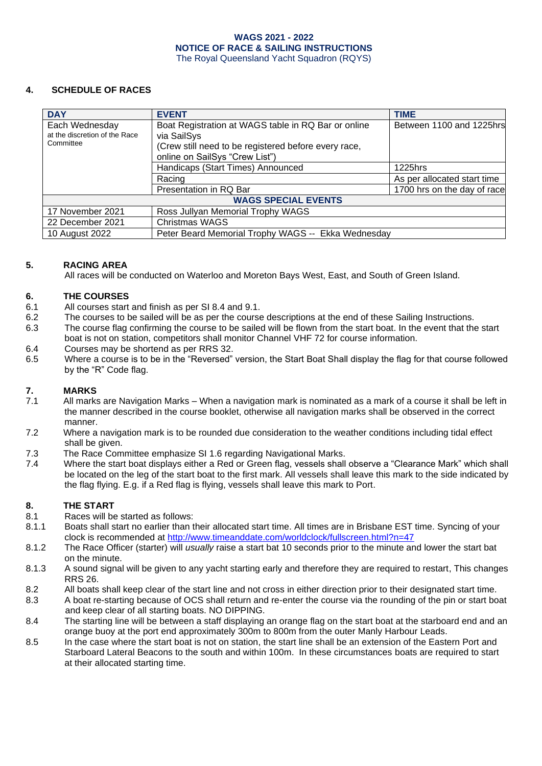#### **4. SCHEDULE OF RACES**

| <b>DAY</b>                                                   | <b>EVENT</b>                                                                                                                                                 | <b>TIME</b>                 |
|--------------------------------------------------------------|--------------------------------------------------------------------------------------------------------------------------------------------------------------|-----------------------------|
| Each Wednesday<br>at the discretion of the Race<br>Committee | Boat Registration at WAGS table in RQ Bar or online<br>via SailSys<br>(Crew still need to be registered before every race,<br>online on SailSys "Crew List") | Between 1100 and 1225hrs    |
|                                                              | Handicaps (Start Times) Announced                                                                                                                            | 1225hrs                     |
|                                                              | Racing                                                                                                                                                       | As per allocated start time |
|                                                              | Presentation in RQ Bar                                                                                                                                       | 1700 hrs on the day of race |
| <b>WAGS SPECIAL EVENTS</b>                                   |                                                                                                                                                              |                             |
| 17 November 2021                                             | Ross Jullyan Memorial Trophy WAGS                                                                                                                            |                             |
| 22 December 2021                                             | Christmas WAGS                                                                                                                                               |                             |
| 10 August 2022                                               | Peter Beard Memorial Trophy WAGS -- Ekka Wednesday                                                                                                           |                             |

#### **5. RACING AREA**

All races will be conducted on Waterloo and Moreton Bays West, East, and South of Green Island.

#### **6. THE COURSES**

- 6.1 All courses start and finish as per SI 8.4 and 9.1.
- 6.2 The courses to be sailed will be as per the course descriptions at the end of these Sailing Instructions.
- 6.3 The course flag confirming the course to be sailed will be flown from the start boat. In the event that the start boat is not on station, competitors shall monitor Channel VHF 72 for course information.
- 6.4 Courses may be shortend as per RRS 32.
- 6.5 Where a course is to be in the "Reversed" version, the Start Boat Shall display the flag for that course followed by the "R" Code flag.

#### **7. MARKS**

- 7.1 All marks are Navigation Marks When a navigation mark is nominated as a mark of a course it shall be left in the manner described in the course booklet, otherwise all navigation marks shall be observed in the correct manner.
- 7.2 Where a navigation mark is to be rounded due consideration to the weather conditions including tidal effect shall be given.
- 7.3 The Race Committee emphasize SI 1.6 regarding Navigational Marks.
- 7.4 Where the start boat displays either a Red or Green flag, vessels shall observe a "Clearance Mark" which shall be located on the leg of the start boat to the first mark. All vessels shall leave this mark to the side indicated by the flag flying. E.g. if a Red flag is flying, vessels shall leave this mark to Port.

#### **8. THE START**

- 8.1 Races will be started as follows:
- 8.1.1 Boats shall start no earlier than their allocated start time. All times are in Brisbane EST time. Syncing of your clock is recommended at<http://www.timeanddate.com/worldclock/fullscreen.html?n=47>
- 8.1.2 The Race Officer (starter) will *usually* raise a start bat 10 seconds prior to the minute and lower the start bat on the minute.
- 8.1.3 A sound signal will be given to any yacht starting early and therefore they are required to restart, This changes RRS 26.
- 8.2 All boats shall keep clear of the start line and not cross in either direction prior to their designated start time.
- 8.3 A boat re-starting because of OCS shall return and re-enter the course via the rounding of the pin or start boat and keep clear of all starting boats. NO DIPPING.
- 8.4 The starting line will be between a staff displaying an orange flag on the start boat at the starboard end and an orange buoy at the port end approximately 300m to 800m from the outer Manly Harbour Leads.
- 8.5 In the case where the start boat is not on station, the start line shall be an extension of the Eastern Port and Starboard Lateral Beacons to the south and within 100m. In these circumstances boats are required to start at their allocated starting time.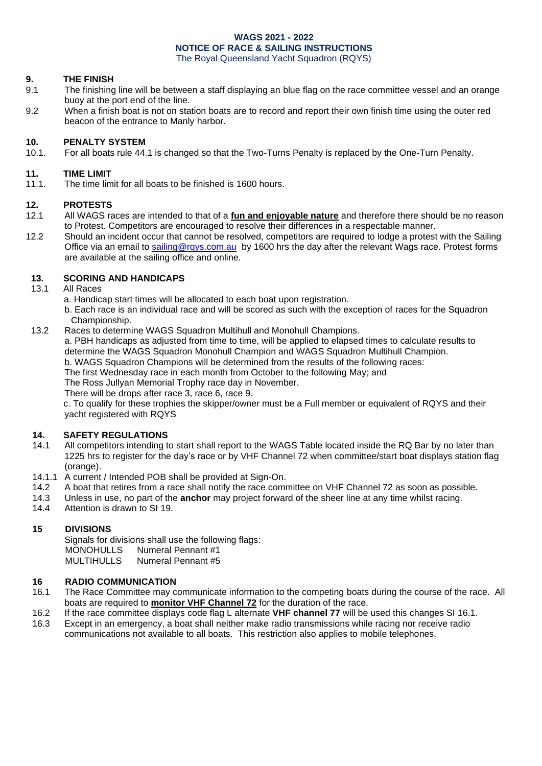#### **9. THE FINISH**

- 9.1 The finishing line will be between a staff displaying an blue flag on the race committee vessel and an orange buoy at the port end of the line.
- 9.2 When a finish boat is not on station boats are to record and report their own finish time using the outer red beacon of the entrance to Manly harbor.

## **10. PENALTY SYSTEM**

For all boats rule 44.1 is changed so that the Two-Turns Penalty is replaced by the One-Turn Penalty.

#### **11. TIME LIMIT**

11.1. The time limit for all boats to be finished is 1600 hours.

### **12. PROTESTS**

- 12.1 All WAGS races are intended to that of a **fun and enjoyable nature** and therefore there should be no reason to Protest. Competitors are encouraged to resolve their differences in a respectable manner.
- 12.2 Should an incident occur that cannot be resolved, competitors are required to lodge a protest with the Sailing Office via an email to [sailing@rqys.com.au](mailto:sailing@rqys.com.au) by 1600 hrs the day after the relevant Wags race. Protest forms are available at the sailing office and online.

#### **13. SCORING AND HANDICAPS**

- 13.1 All Races
	- a. Handicap start times will be allocated to each boat upon registration.

b. Each race is an individual race and will be scored as such with the exception of races for the Squadron Championship.

13.2 Races to determine WAGS Squadron Multihull and Monohull Champions.

a. PBH handicaps as adjusted from time to time, will be applied to elapsed times to calculate results to determine the WAGS Squadron Monohull Champion and WAGS Squadron Multihull Champion.

b. WAGS Squadron Champions will be determined from the results of the following races:

The first Wednesday race in each month from October to the following May; and

The Ross Jullyan Memorial Trophy race day in November.

There will be drops after race 3, race 6, race 9.

c. To qualify for these trophies the skipper/owner must be a Full member or equivalent of RQYS and their yacht registered with RQYS

#### **14. SAFETY REGULATIONS**

- 14.1 All competitors intending to start shall report to the WAGS Table located inside the RQ Bar by no later than 1225 hrs to register for the day's race or by VHF Channel 72 when committee/start boat displays station flag (orange).
- 14.1.1 A current / Intended POB shall be provided at Sign-On.
- 14.2 A boat that retires from a race shall notify the race committee on VHF Channel 72 as soon as possible.
- 14.3 Unless in use, no part of the **anchor** may project forward of the sheer line at any time whilst racing.
- 14.4 Attention is drawn to SI 19.

#### **15 DIVISIONS**

Signals for divisions shall use the following flags: MONOHULLS Numeral Pennant #1 MULTIHULLS Numeral Pennant #5

#### **16 RADIO COMMUNICATION**

- 16.1 The Race Committee may communicate information to the competing boats during the course of the race. All boats are required to **monitor VHF Channel 72** for the duration of the race.
- 16.2 If the race committee displays code flag L alternate **VHF channel 77** will be used this changes SI 16.1.
- 16.3 Except in an emergency, a boat shall neither make radio transmissions while racing nor receive radio communications not available to all boats. This restriction also applies to mobile telephones.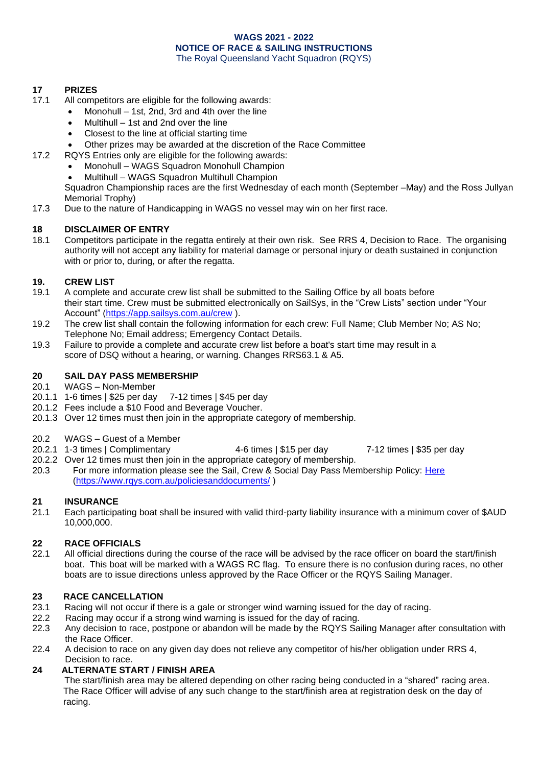#### **17 PRIZES**

- 17.1 All competitors are eligible for the following awards:
	- Monohull 1st, 2nd, 3rd and 4th over the line
		- Multihull 1st and 2nd over the line
		- Closest to the line at official starting time
	- Other prizes may be awarded at the discretion of the Race Committee
- 17.2 RQYS Entries only are eligible for the following awards:
	- Monohull WAGS Squadron Monohull Champion
	- Multihull WAGS Squadron Multihull Champion

Squadron Championship races are the first Wednesday of each month (September –May) and the Ross Jullyan Memorial Trophy)

17.3 Due to the nature of Handicapping in WAGS no vessel may win on her first race.

#### **18 DISCLAIMER OF ENTRY**

18.1 Competitors participate in the regatta entirely at their own risk. See RRS 4, Decision to Race. The organising authority will not accept any liability for material damage or personal injury or death sustained in conjunction with or prior to, during, or after the regatta.

#### **19. CREW LIST**

- 19.1 A complete and accurate crew list shall be submitted to the Sailing Office by all boats before their start time. Crew must be submitted electronically on SailSys, in the "Crew Lists" section under "Your Account" [\(https://app.sailsys.com.au/crew](https://app.sailsys.com.au/crew) ).
- 19.2 The crew list shall contain the following information for each crew: Full Name; Club Member No; AS No; Telephone No; Email address; Emergency Contact Details.
- 19.3 Failure to provide a complete and accurate crew list before a boat's start time may result in a score of DSQ without a hearing, or warning. Changes RRS63.1 & A5.

#### **20 SAIL DAY PASS MEMBERSHIP**

- 20.1 WAGS Non-Member
- 20.1.1 1-6 times | \$25 per day 7-12 times | \$45 per day
- 20.1.2 Fees include a \$10 Food and Beverage Voucher.
- 20.1.3 Over 12 times must then join in the appropriate category of membership.
- 20.2 WAGS Guest of a Member
- 20.2.1 1-3 times | Complimentary 4-6 times | \$15 per day 7-12 times | \$35 per day
- 20.2.2 Over 12 times must then join in the appropriate category of membership.
- 20.3 For more information please see the Sail, Crew & Social Day Pass Membership Policy: [Here](https://www.rqys.com.au/policiesanddocuments/) [\(https://www.rqys.com.au/policiesanddocuments/](https://www.rqys.com.au/policiesanddocuments/) )

#### **21 INSURANCE**

21.1 Each participating boat shall be insured with valid third-party liability insurance with a minimum cover of \$AUD 10,000,000.

#### **22 RACE OFFICIALS**

22.1 All official directions during the course of the race will be advised by the race officer on board the start/finish boat. This boat will be marked with a WAGS RC flag. To ensure there is no confusion during races, no other boats are to issue directions unless approved by the Race Officer or the RQYS Sailing Manager.

#### **23 RACE CANCELLATION**

- 23.1 Racing will not occur if there is a gale or stronger wind warning issued for the day of racing.
- 22.2 Racing may occur if a strong wind warning is issued for the day of racing.
- 22.3 Any decision to race, postpone or abandon will be made by the RQYS Sailing Manager after consultation with the Race Officer.
- 22.4 A decision to race on any given day does not relieve any competitor of his/her obligation under RRS 4, Decision to race.

#### **24 ALTERNATE START / FINISH AREA**

The start/finish area may be altered depending on other racing being conducted in a "shared" racing area. The Race Officer will advise of any such change to the start/finish area at registration desk on the day of racing.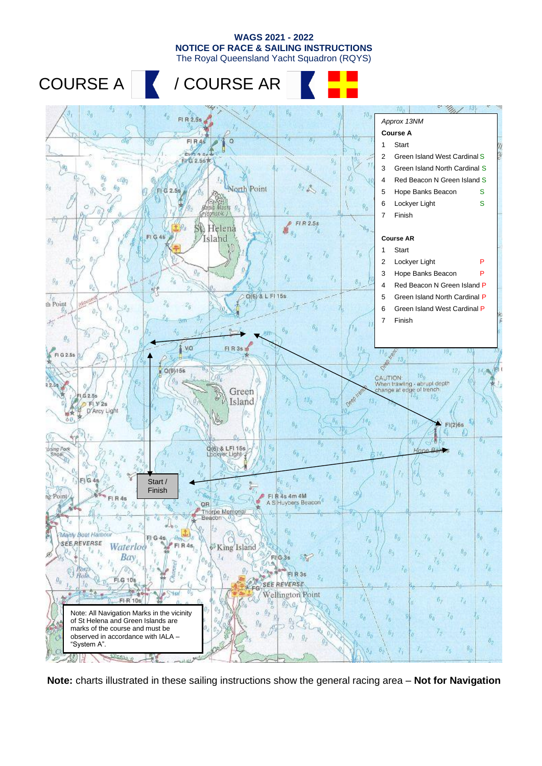The Royal Queensland Yacht Squadron (RQYS)







**Note:** charts illustrated in these sailing instructions show the general racing area – **Not for Navigation**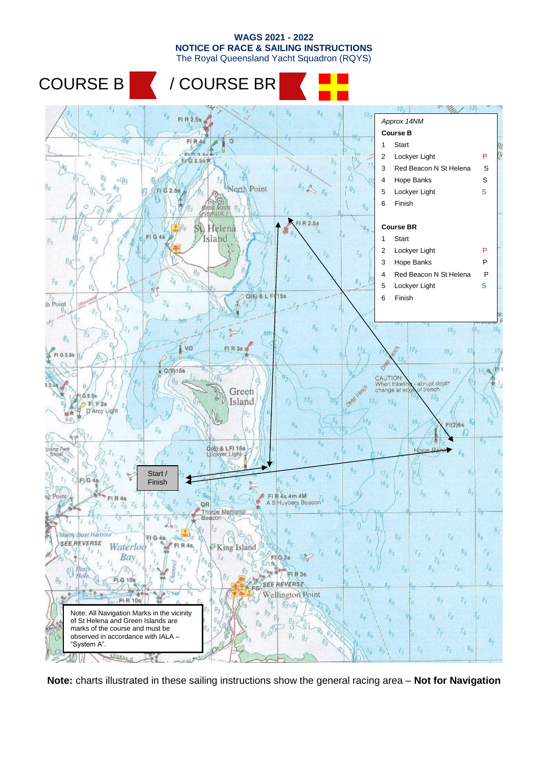The Royal Queensland Yacht Squadron (RQYS)

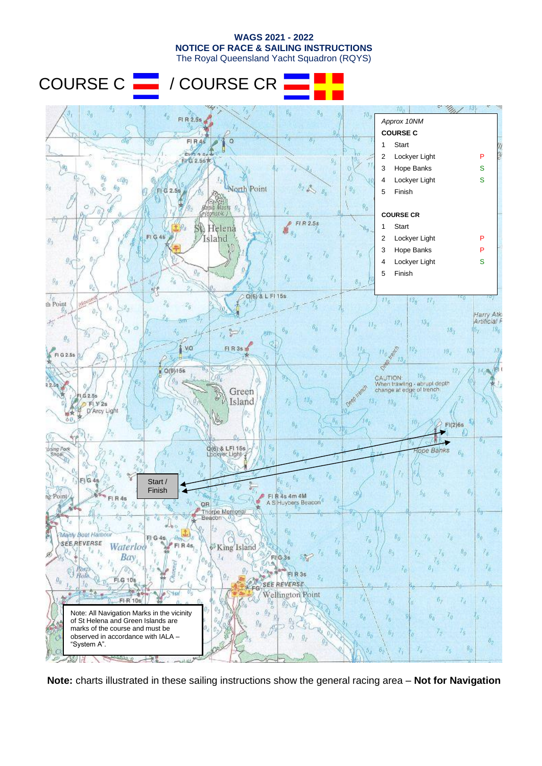The Royal Queensland Yacht Squadron (RQYS)

COURSE C **| | |** / COURSE CR



**Note:** charts illustrated in these sailing instructions show the general racing area – **Not for Navigation**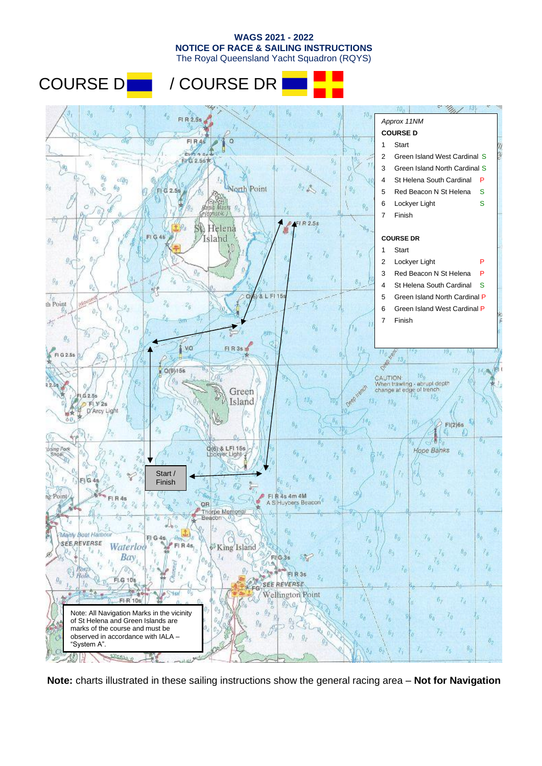The Royal Queensland Yacht Squadron (RQYS)

## COURSE D**O** / COURSE DR



**Note:** charts illustrated in these sailing instructions show the general racing area – **Not for Navigation**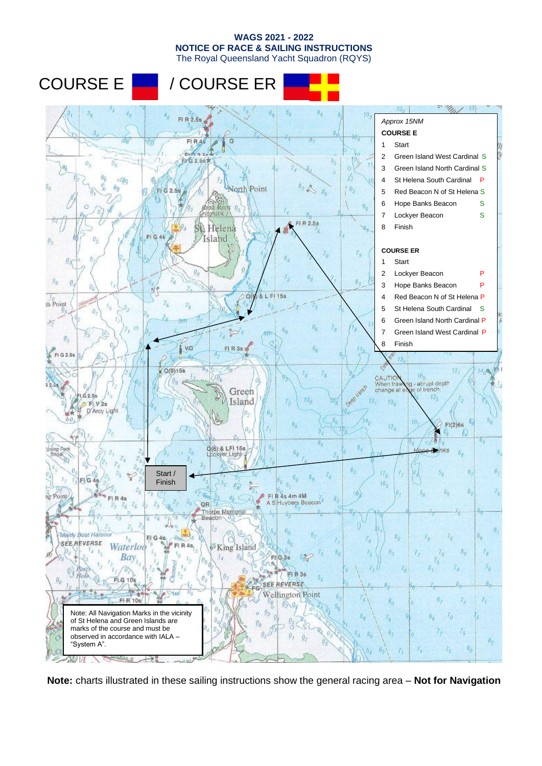The Royal Queensland Yacht Squadron (RQYS)



**Note:** charts illustrated in these sailing instructions show the general racing area – **Not for Navigation**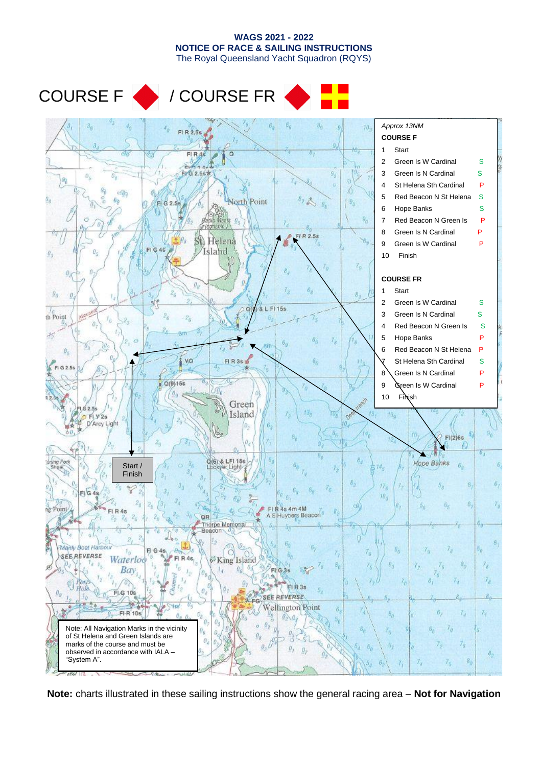The Royal Queensland Yacht Squadron (RQYS)

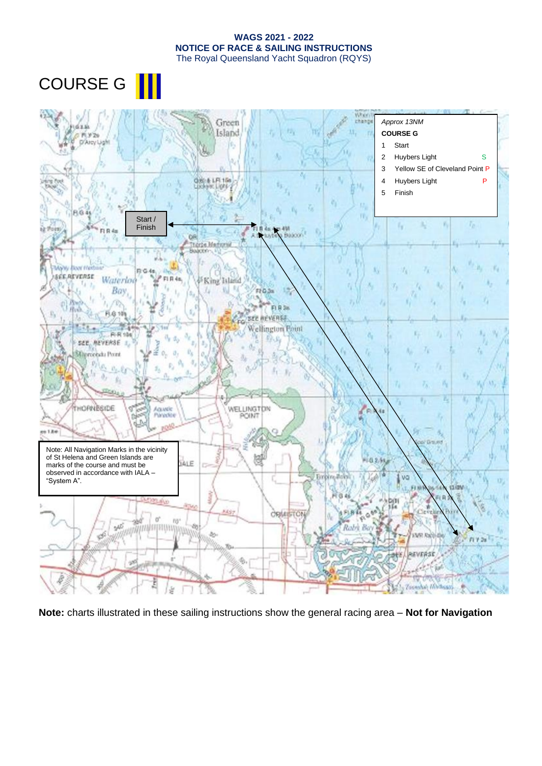COURSE G ||



**Note:** charts illustrated in these sailing instructions show the general racing area – **Not for Navigation**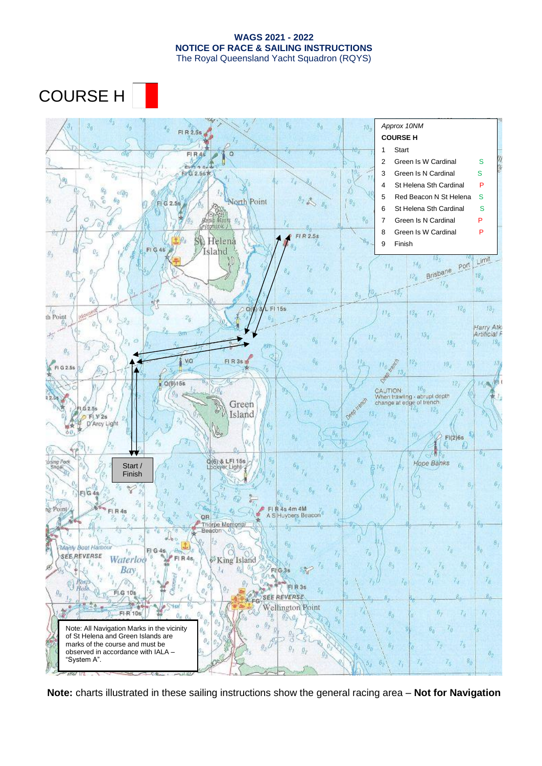COURSE H

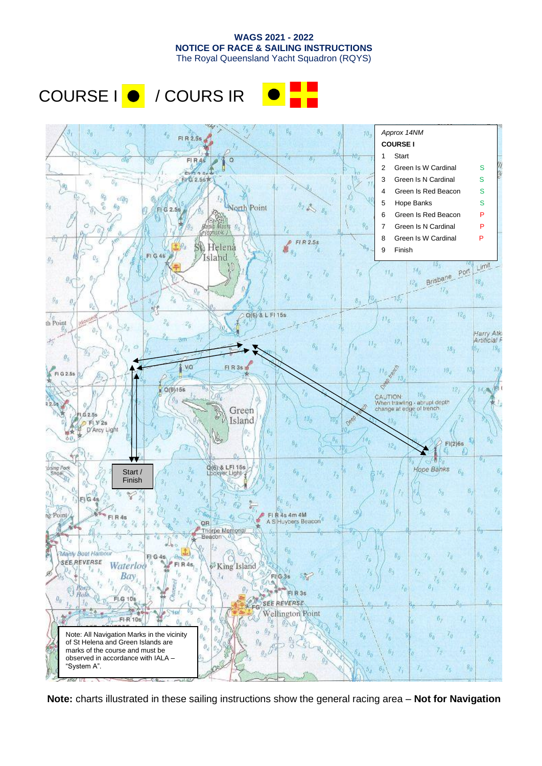The Royal Queensland Yacht Squadron (RQYS)